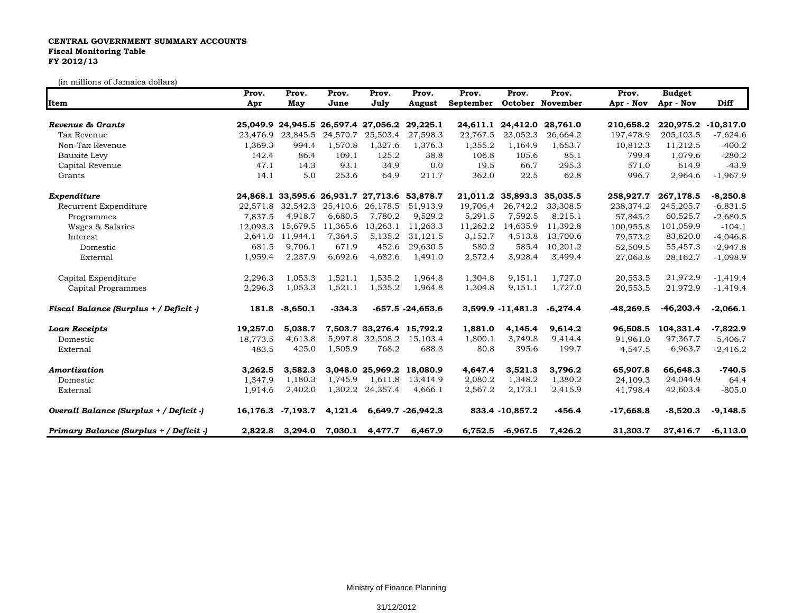## **CENTRAL GOVERNMENT SUMMARY ACCOUNTS Fiscal Monitoring Table FY 2012/13**

(in millions of Jamaica dollars)

|                                         | Prov.    | Prov.      | Prov.    | Prov.                                        | Prov.               | Prov.     | Prov.             | Prov.             | Prov.       | <b>Budget</b> |             |
|-----------------------------------------|----------|------------|----------|----------------------------------------------|---------------------|-----------|-------------------|-------------------|-------------|---------------|-------------|
| Item                                    | Apr      | May        | June     | July                                         | August              | September |                   | October November  | Apr - Nov   | Apr - Nov     | <b>Diff</b> |
| Revenue & Grants                        |          |            |          | 25,049.9 24,945.5 26,597.4 27,056.2          | 29,225.1            | 24,611.1  | 24,412.0          | 28,761.0          | 210,658.2   | 220,975.2     | $-10,317.0$ |
| Tax Revenue                             | 23.476.9 | 23,845.5   | 24,570.7 | 25,503.4                                     | 27,598.3            | 22,767.5  | 23,052.3          | 26,664.2          | 197,478.9   | 205,103.5     | $-7,624.6$  |
| Non-Tax Revenue                         | 1,369.3  | 994.4      | 1,570.8  | 1,327.6                                      | 1,376.3             | 1,355.2   | 1,164.9           | 1,653.7           | 10,812.3    | 11,212.5      | $-400.2$    |
| Bauxite Levy                            | 142.4    | 86.4       | 109.1    | 125.2                                        | 38.8                | 106.8     | 105.6             | 85.1              | 799.4       | 1.079.6       | $-280.2$    |
| Capital Revenue                         | 47.1     | 14.3       | 93.1     | 34.9                                         | 0.0                 | 19.5      | 66.7              | 295.3             | 571.0       | 614.9         | $-43.9$     |
| Grants                                  | 14.1     | 5.0        | 253.6    | 64.9                                         | 211.7               | 362.0     | 22.5              | 62.8              | 996.7       | 2,964.6       | $-1,967.9$  |
| Expenditure                             |          |            |          | 24,868.1 33,595.6 26,931.7 27,713.6 53,878.7 |                     | 21,011.2  |                   | 35,893.3 35,035.5 | 258,927.7   | 267,178.5     | $-8,250.8$  |
| Recurrent Expenditure                   | 22,571.8 | 32,542.3   |          | 25,410.6 26,178.5                            | 51,913.9            | 19,706.4  | 26,742.2          | 33,308.5          | 238,374.2   | 245,205.7     | $-6,831.5$  |
| Programmes                              | 7.837.5  | 4,918.7    | 6,680.5  | 7,780.2                                      | 9,529.2             | 5,291.5   | 7,592.5           | 8,215.1           | 57,845.2    | 60,525.7      | $-2,680.5$  |
| Wages & Salaries                        | 12.093.3 | 15,679.5   | 11,365.6 | 13,263.1                                     | 11,263.3            | 11,262.2  | 14,635.9          | 11,392.8          | 100,955.8   | 101,059.9     | $-104.1$    |
| Interest                                | 2,641.0  | 11,944.1   | 7,364.5  | 5,135.2                                      | 31,121.5            | 3,152.7   | 4,513.8           | 13,700.6          | 79,573.2    | 83,620.0      | $-4,046.8$  |
| Domestic                                | 681.5    | 9,706.1    | 671.9    | 452.6                                        | 29,630.5            | 580.2     | 585.4             | 10,201.2          | 52,509.5    | 55,457.3      | $-2,947.8$  |
| External                                | 1,959.4  | 2,237.9    | 6,692.6  | 4,682.6                                      | 1,491.0             | 2,572.4   | 3,928.4           | 3,499.4           | 27,063.8    | 28,162.7      | $-1,098.9$  |
| Capital Expenditure                     | 2,296.3  | 1,053.3    | 1,521.1  | 1,535.2                                      | 1,964.8             | 1,304.8   | 9,151.1           | 1,727.0           | 20,553.5    | 21,972.9      | $-1,419.4$  |
| Capital Programmes                      | 2,296.3  | 1,053.3    | 1,521.1  | 1,535.2                                      | 1,964.8             | 1,304.8   | 9,151.1           | 1,727.0           | 20,553.5    | 21,972.9      | $-1,419.4$  |
| Fiscal Balance (Surplus + / Deficit -)  | 181.8    | $-8,650.1$ | $-334.3$ |                                              | $-657.5 - 24,653.6$ |           | 3,599.9 -11,481.3 | $-6,274.4$        | $-48,269.5$ | $-46,203.4$   | $-2,066.1$  |
| <b>Loan Receipts</b>                    | 19,257.0 | 5,038.7    |          | 7,503.7 33,276.4 15,792.2                    |                     | 1,881.0   | 4,145.4           | 9,614.2           | 96,508.5    | 104,331.4     | $-7,822.9$  |
| Domestic                                | 18.773.5 | 4,613.8    | 5,997.8  | 32,508.2                                     | 15,103.4            | 1,800.1   | 3,749.8           | 9,414.4           | 91,961.0    | 97,367.7      | $-5,406.7$  |
| External                                | 483.5    | 425.0      | 1,505.9  | 768.2                                        | 688.8               | 80.8      | 395.6             | 199.7             | 4,547.5     | 6,963.7       | $-2,416.2$  |
| Amortization                            | 3,262.5  | 3,582.3    |          | 3,048.0 25,969.2                             | 18,080.9            | 4,647.4   | 3,521.3           | 3,796.2           | 65,907.8    | 66,648.3      | $-740.5$    |
| Domestic                                | 1.347.9  | 1,180.3    | 1,745.9  | 1,611.8                                      | 13,414.9            | 2,080.2   | 1,348.2           | 1,380.2           | 24.109.3    | 24,044.9      | 64.4        |
| External                                | 1,914.6  | 2,402.0    |          | 1,302.2 24,357.4                             | 4,666.1             | 2,567.2   | 2,173.1           | 2,415.9           | 41,798.4    | 42,603.4      | $-805.0$    |
| Overall Balance (Surplus + / Deficit -) | 16,176.3 | $-7,193.7$ | 4,121.4  |                                              | 6,649.7 -26,942.3   |           | 833.4 -10,857.2   | -456.4            | $-17,668.8$ | $-8,520.3$    | $-9,148.5$  |
| Primary Balance (Surplus + / Deficit -) | 2,822.8  | 3,294.0    | 7,030.1  | 4,477.7                                      | 6,467.9             |           | 6,752.5 -6,967.5  | 7,426.2           | 31,303.7    | 37,416.7      | $-6,113.0$  |